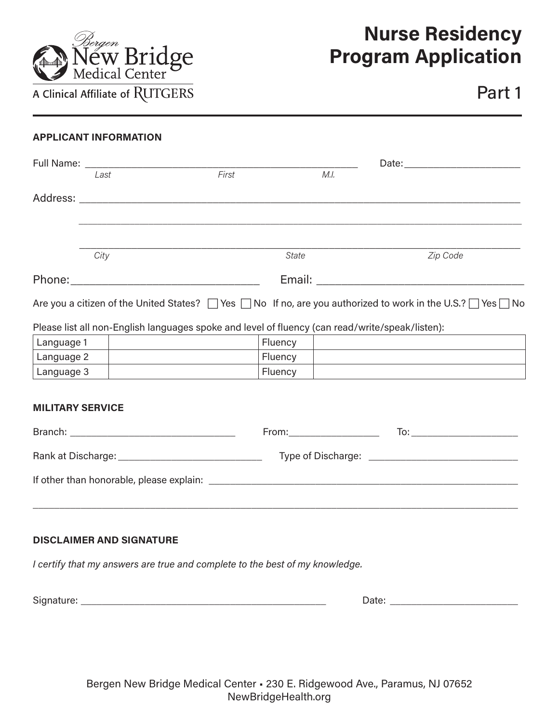

# **Nurse Residency Program Application**

### Part 1

#### **APPLICANT INFORMATION**

|                         | Last | First                                                                                           | M.I.                                                                                                                                                                                                                           |                                                                                                                                  |
|-------------------------|------|-------------------------------------------------------------------------------------------------|--------------------------------------------------------------------------------------------------------------------------------------------------------------------------------------------------------------------------------|----------------------------------------------------------------------------------------------------------------------------------|
|                         |      |                                                                                                 |                                                                                                                                                                                                                                |                                                                                                                                  |
|                         |      |                                                                                                 |                                                                                                                                                                                                                                |                                                                                                                                  |
|                         | City |                                                                                                 | State                                                                                                                                                                                                                          | Zip Code                                                                                                                         |
|                         |      |                                                                                                 |                                                                                                                                                                                                                                |                                                                                                                                  |
|                         |      | Please list all non-English languages spoke and level of fluency (can read/write/speak/listen): |                                                                                                                                                                                                                                | Are you a citizen of the United States? $\Box$ Yes $\Box$ No If no, are you authorized to work in the U.S.? $\Box$ Yes $\Box$ No |
| Language 1              |      |                                                                                                 | Fluency                                                                                                                                                                                                                        |                                                                                                                                  |
| Language 2              |      | <u> 1989 - Johann Barbara, martxa alemaniar a</u>                                               | Fluency                                                                                                                                                                                                                        |                                                                                                                                  |
| Language 3              |      |                                                                                                 | Fluency                                                                                                                                                                                                                        |                                                                                                                                  |
| <b>MILITARY SERVICE</b> |      |                                                                                                 |                                                                                                                                                                                                                                |                                                                                                                                  |
|                         |      |                                                                                                 | From: Expansion of the state of the state of the state of the state of the state of the state of the state of the state of the state of the state of the state of the state of the state of the state of the state of the stat |                                                                                                                                  |
|                         |      |                                                                                                 |                                                                                                                                                                                                                                |                                                                                                                                  |
|                         |      | If other than honorable, please explain: ____________                                           |                                                                                                                                                                                                                                |                                                                                                                                  |

#### **DISCLAIMER AND SIGNATURE**

*I certify that my answers are true and complete to the best of my knowledge.*

| Signature | . .<br>$1 - 1$<br>$\sim$<br>$\sim$ $\sim$ |  |
|-----------|-------------------------------------------|--|
|           |                                           |  |

\_\_\_\_\_\_\_\_\_\_\_\_\_\_\_\_\_\_\_\_\_\_\_\_\_\_\_\_\_\_\_\_\_\_\_\_\_\_\_\_\_\_\_\_\_\_\_\_\_\_\_\_\_\_\_\_\_\_\_\_\_\_\_\_\_\_\_\_\_\_\_\_\_\_\_\_\_\_\_\_\_\_\_\_\_\_\_\_\_\_\_